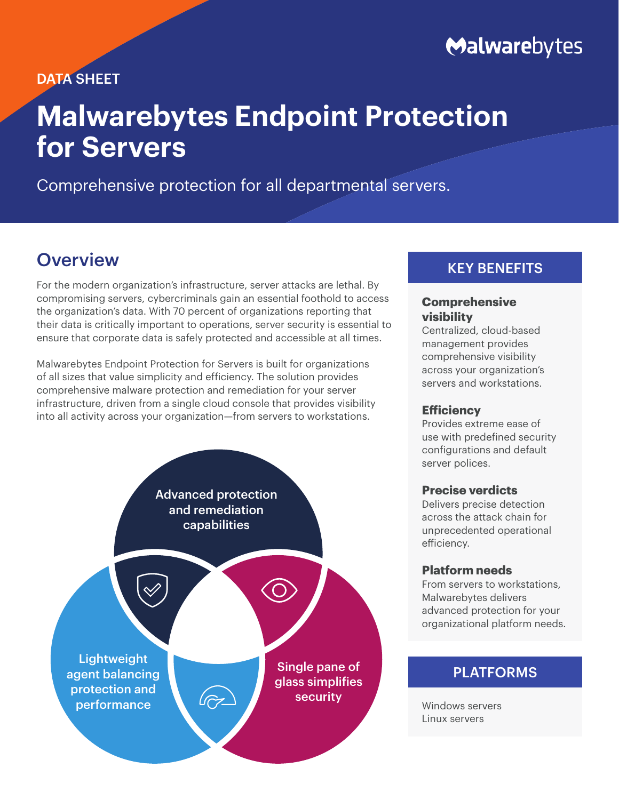# Malwarebytes

### DATA SHEET

# **Malwarebytes Endpoint Protection for Servers**

Comprehensive protection for all departmental servers.

## **Overview**

For the modern organization's infrastructure, server attacks are lethal. By compromising servers, cybercriminals gain an essential foothold to access the organization's data. With 70 percent of organizations reporting that their data is critically important to operations, server security is essential to ensure that corporate data is safely protected and accessible at all times.

Malwarebytes Endpoint Protection for Servers is built for organizations of all sizes that value simplicity and efficiency. The solution provides comprehensive malware protection and remediation for your server infrastructure, driven from a single cloud console that provides visibility into all activity across your organization—from servers to workstations.



### KEY BENEFITS

### **Comprehensive visibility**

Centralized, cloud-based management provides comprehensive visibility across your organization's servers and workstations.

### **Efficiency**

Provides extreme ease of use with predefined security configurations and default server polices.

### **Precise verdicts**

Delivers precise detection across the attack chain for unprecedented operational efficiency.

### **Platform needs**

From servers to workstations, Malwarebytes delivers advanced protection for your organizational platform needs.

### PLATFORMS

Windows servers Linux servers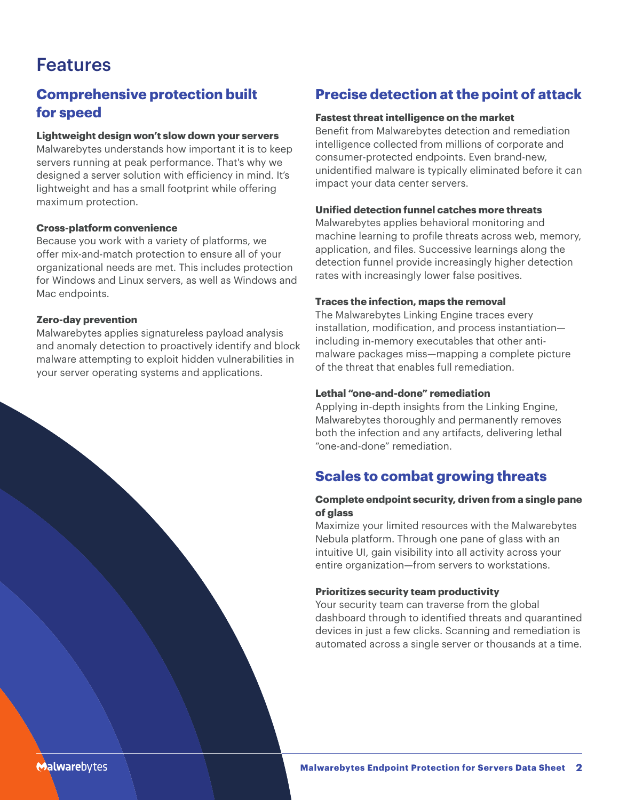# Features

### **Comprehensive protection built for speed**

#### **Lightweight design won't slow down your servers**

Malwarebytes understands how important it is to keep servers running at peak performance. That's why we designed a server solution with efficiency in mind. It's lightweight and has a small footprint while offering maximum protection.

#### **Cross-platform convenience**

Because you work with a variety of platforms, we offer mix-and-match protection to ensure all of your organizational needs are met. This includes protection for Windows and Linux servers, as well as Windows and Mac endpoints.

#### **Zero-day prevention**

Malwarebytes applies signatureless payload analysis and anomaly detection to proactively identify and block malware attempting to exploit hidden vulnerabilities in your server operating systems and applications.

### **Precise detection at the point of attack**

#### **Fastest threat intelligence on the market**

Benefit from Malwarebytes detection and remediation intelligence collected from millions of corporate and consumer-protected endpoints. Even brand-new, unidentified malware is typically eliminated before it can impact your data center servers.

#### **Unified detection funnel catches more threats**

Malwarebytes applies behavioral monitoring and machine learning to profile threats across web, memory, application, and files. Successive learnings along the detection funnel provide increasingly higher detection rates with increasingly lower false positives.

#### **Traces the infection, maps the removal**

The Malwarebytes Linking Engine traces every installation, modification, and process instantiation including in-memory executables that other antimalware packages miss—mapping a complete picture of the threat that enables full remediation.

#### **Lethal "one-and-done" remediation**

Applying in-depth insights from the Linking Engine, Malwarebytes thoroughly and permanently removes both the infection and any artifacts, delivering lethal "one-and-done" remediation.

### **Scales to combat growing threats**

#### **Complete endpoint security, driven from a single pane of glass**

Maximize your limited resources with the Malwarebytes Nebula platform. Through one pane of glass with an intuitive UI, gain visibility into all activity across your entire organization—from servers to workstations.

#### **Prioritizes security team productivity**

Your security team can traverse from the global dashboard through to identified threats and quarantined devices in just a few clicks. Scanning and remediation is automated across a single server or thousands at a time.